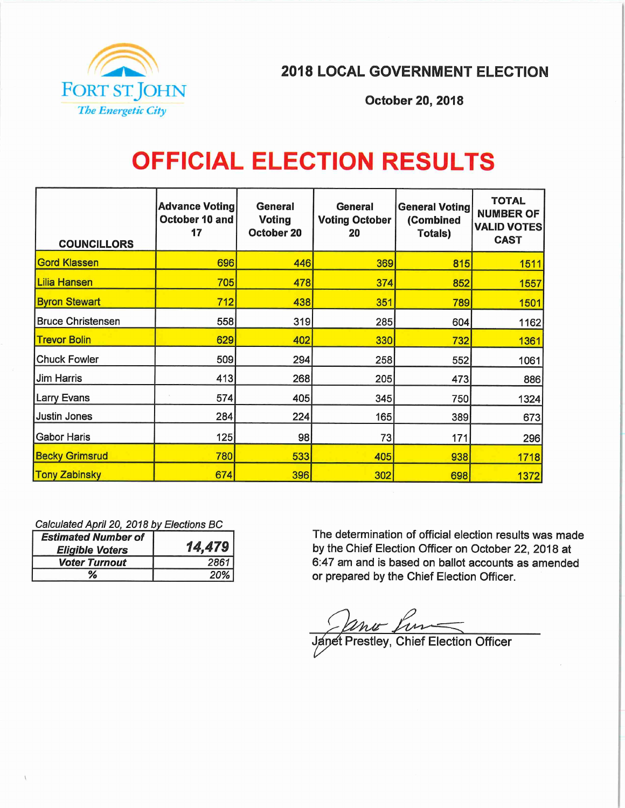

2018 LOCAL GOVERNMENT ELECTION

October 20, 2018

# OFFICIAL ELECTION RESULTS

| <b>COUNCILLORS</b>       | <b>Advance Voting</b><br>October 10 and<br>17 | <b>General</b><br><b>Voting</b><br>October 20 | General<br><b>Voting October</b><br>20 | <b>General Voting</b><br>(Combined<br><b>Totals)</b> | <b>TOTAL</b><br><b>NUMBER OF</b><br><b>VALID VOTES</b><br><b>CAST</b> |
|--------------------------|-----------------------------------------------|-----------------------------------------------|----------------------------------------|------------------------------------------------------|-----------------------------------------------------------------------|
| <b>Gord Klassen</b>      | 696                                           | 446                                           | 369                                    | 815                                                  | 1511                                                                  |
| <b>Lilia Hansen</b>      | 705                                           | 478                                           | 374                                    | 852                                                  | 1557                                                                  |
| <b>Byron Stewart</b>     | 712                                           | 438                                           | 351                                    | 789                                                  | 1501                                                                  |
| <b>Bruce Christensen</b> | 558                                           | 319                                           | 285                                    | 604                                                  | 1162                                                                  |
| <b>Trevor Bolin</b>      | 629                                           | 402                                           | 330                                    | 732                                                  | 1361                                                                  |
| <b>Chuck Fowler</b>      | 509                                           | 294                                           | 258                                    | 552                                                  | 1061                                                                  |
| Jim Harris               | 413                                           | 268                                           | 205                                    | 473                                                  | 886                                                                   |
| <b>Larry Evans</b>       | 574                                           | 405                                           | 345                                    | 750                                                  | 1324                                                                  |
| <b>Justin Jones</b>      | 284                                           | 224                                           | 165                                    | 389                                                  | 673                                                                   |
| <b>Gabor Haris</b>       | 125                                           | 98                                            | 73                                     | 171                                                  | 296                                                                   |
| <b>Becky Grimsrud</b>    | 780                                           | 533                                           | 405                                    | 938                                                  | 1718                                                                  |
| <b>Tony Zabinsky</b>     | 674                                           | 396                                           | 302                                    | 698                                                  | 1372                                                                  |

Calculated April 20, 2018 by Elections BC

| <b>Estimated Number of</b><br><b>Eligible Voters</b> | 14,479 |  |
|------------------------------------------------------|--------|--|
| <b>Voter Turnout</b>                                 | 2861   |  |
| ℅                                                    | 20%    |  |

The determination of official election results was made by the Chief Election Officer on October 22, 2018 at 6:47 am and is based on ballot accounts as amended or prepared by the Chief Election Officer.

Janet Prestley, Chief Election Officer